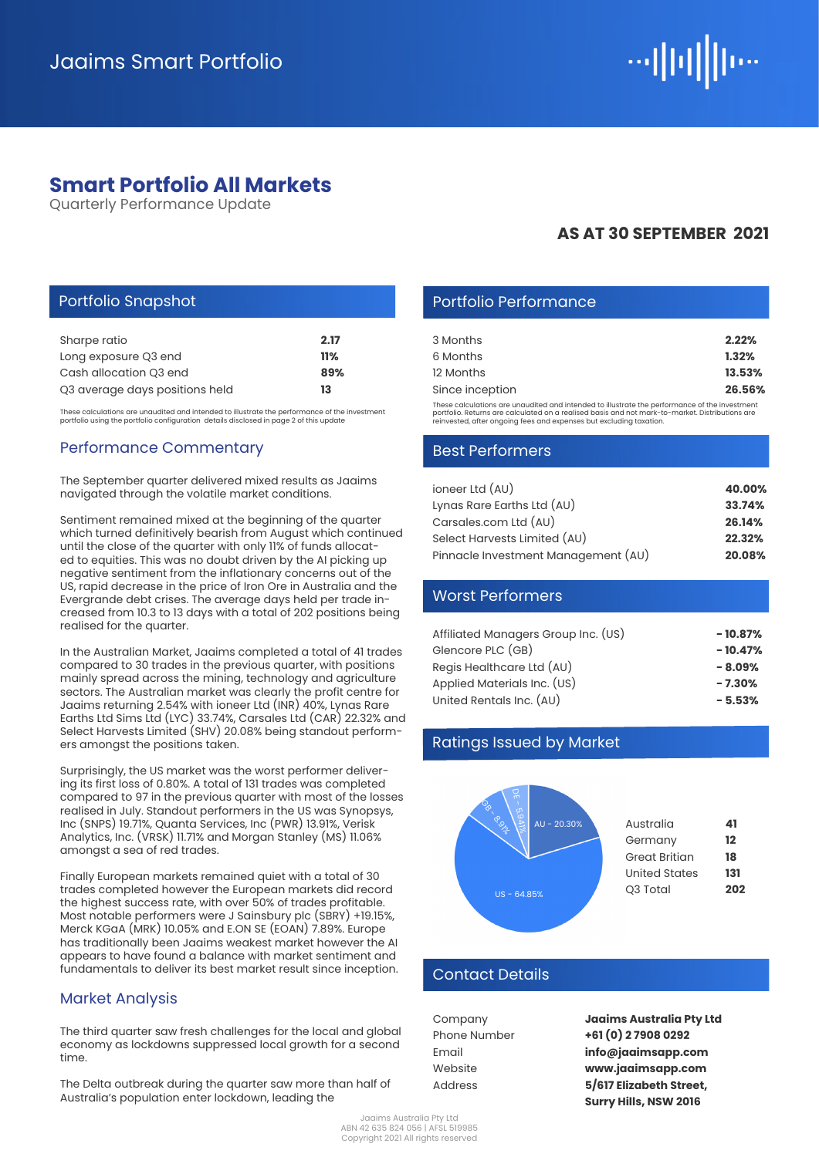# ⊶∥¤∭l⊪⊶

## **Smart Portfolio All Markets**

Quarterly Performance Update

## **AS AT 30 SEPTEMBER 2021**

| Sharpe ratio                   | 2.17 |
|--------------------------------|------|
| Long exposure Q3 end           | 11%  |
| Cash allocation O3 end         | 89%  |
| Q3 average days positions held | 13   |

These calculations are unaudited and intended to illustrate the performance of the investment portfolio using the portfolio configuration details disclosed in page 2 of this update

#### Performance Commentary

The September quarter delivered mixed results as Jaaims navigated through the volatile market conditions.

Sentiment remained mixed at the beginning of the quarter which turned definitively bearish from August which continued until the close of the quarter with only 11% of funds allocated to equities. This was no doubt driven by the AI picking up negative sentiment from the inflationary concerns out of the US, rapid decrease in the price of Iron Ore in Australia and the Evergrande debt crises. The average days held per trade increased from 10.3 to 13 days with a total of 202 positions being realised for the quarter.

In the Australian Market, Jaaims completed a total of 41 trades compared to 30 trades in the previous quarter, with positions mainly spread across the mining, technology and agriculture sectors. The Australian market was clearly the profit centre for Jaaims returning 2.54% with ioneer Ltd (INR) 40%, Lynas Rare Earths Ltd Sims Ltd (LYC) 33.74%, Carsales Ltd (CAR) 22.32% and Select Harvests Limited (SHV) 20.08% being standout performers amongst the positions taken.

Surprisingly, the US market was the worst performer delivering its first loss of 0.80%. A total of 131 trades was completed compared to 97 in the previous quarter with most of the losses realised in July. Standout performers in the US was Synopsys, Inc (SNPS) 19.71%, Quanta Services, Inc (PWR) 13.91%, Verisk Analytics, Inc. (VRSK) 11.71% and Morgan Stanley (MS) 11.06% amongst a sea of red trades.

Finally European markets remained quiet with a total of 30 trades completed however the European markets did record the highest success rate, with over 50% of trades profitable. Most notable performers were J Sainsbury plc (SBRY) +19.15%, Merck KGaA (MRK) 10.05% and E.ON SE (EOAN) 7.89%. Europe has traditionally been Jaaims weakest market however the AI appears to have found a balance with market sentiment and fundamentals to deliver its best market result since inception.

#### Market Analysis

The third quarter saw fresh challenges for the local and global economy as lockdowns suppressed local growth for a second time.

The Delta outbreak during the quarter saw more than half of Australia's population enter lockdown, leading the

#### Portfolio Snapshot **Portfolio Performance**

| 3 Months        | 2.22%  |
|-----------------|--------|
| 6 Months        | 1.32%  |
| 12 Months       | 13.53% |
| Since inception | 26.56% |
|                 |        |

These calculations are unaudited and intended to illustrate the performance of the investment<br>portfolio. Returns are calculated on a realised basis and not mark-to-market. Distributions are<br>reinvested, after ongoing fees a

#### Best Performers

| ioneer Ltd $(AU)$                   | 40.00% |
|-------------------------------------|--------|
| Lynas Rare Earths Ltd (AU)          | 33.74% |
| Carsales.com Ltd (AU)               | 26.14% |
| Select Harvests Limited (AU)        | 22.32% |
| Pinnacle Investment Management (AU) | 20.08% |

#### Worst Performers

| Affiliated Managers Group Inc. (US) | $-10.87%$ |
|-------------------------------------|-----------|
| Glencore PLC (GB)                   | $-10.47%$ |
| Regis Healthcare Ltd (AU)           | $-8.09%$  |
| Applied Materials Inc. (US)         | $-7.30%$  |
| United Rentals Inc. (AU)            | $-5.53%$  |

### Ratings Issued by Market



#### Contact Details

| Company        |
|----------------|
| Phone Number   |
| Email          |
| Website        |
| <b>Address</b> |

**Jaaims Australia Pty Ltd +61 (0) 2 7908 0292 info@jaaimsapp.com www.jaaimsapp.com 5/617 Elizabeth Street, Surry Hills, NSW 2016**

Jaaims Australia Pty Ltd ABN 42 635 824 056 | AFSL 519985 Copyright 2021 All rights reserved